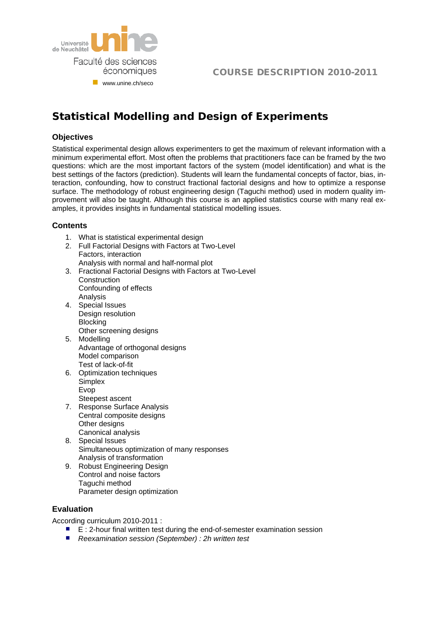

## COURSE DESCRIPTION 2010-2011

# **Statistical Modelling and Design of Experiments**

## **Objectives**

Statistical experimental design allows experimenters to get the maximum of relevant information with a minimum experimental effort. Most often the problems that practitioners face can be framed by the two questions: which are the most important factors of the system (model identification) and what is the best settings of the factors (prediction). Students will learn the fundamental concepts of factor, bias, interaction, confounding, how to construct fractional factorial designs and how to optimize a response surface. The methodology of robust engineering design (Taguchi method) used in modern quality improvement will also be taught. Although this course is an applied statistics course with many real examples, it provides insights in fundamental statistical modelling issues.

## **Contents**

- 1. What is statistical experimental design
- 2. Full Factorial Designs with Factors at Two-Level Factors, interaction Analysis with normal and half-normal plot
- 3. Fractional Factorial Designs with Factors at Two-Level **Construction** Confounding of effects
- Analysis 4. Special Issues Design resolution **Blocking** Other screening designs
- 5. Modelling Advantage of orthogonal designs Model comparison Test of lack-of-fit
- 6. Optimization techniques Simplex Evop Steepest ascent
- 7. Response Surface Analysis Central composite designs Other designs Canonical analysis
- 8. Special Issues Simultaneous optimization of many responses Analysis of transformation
- 9. Robust Engineering Design Control and noise factors Taguchi method Parameter design optimization

## **Evaluation**

According curriculum 2010-2011 :

- $E: 2$ -hour final written test during the end-of-semester examination session
- *Reexamination session (September) : 2h written test*